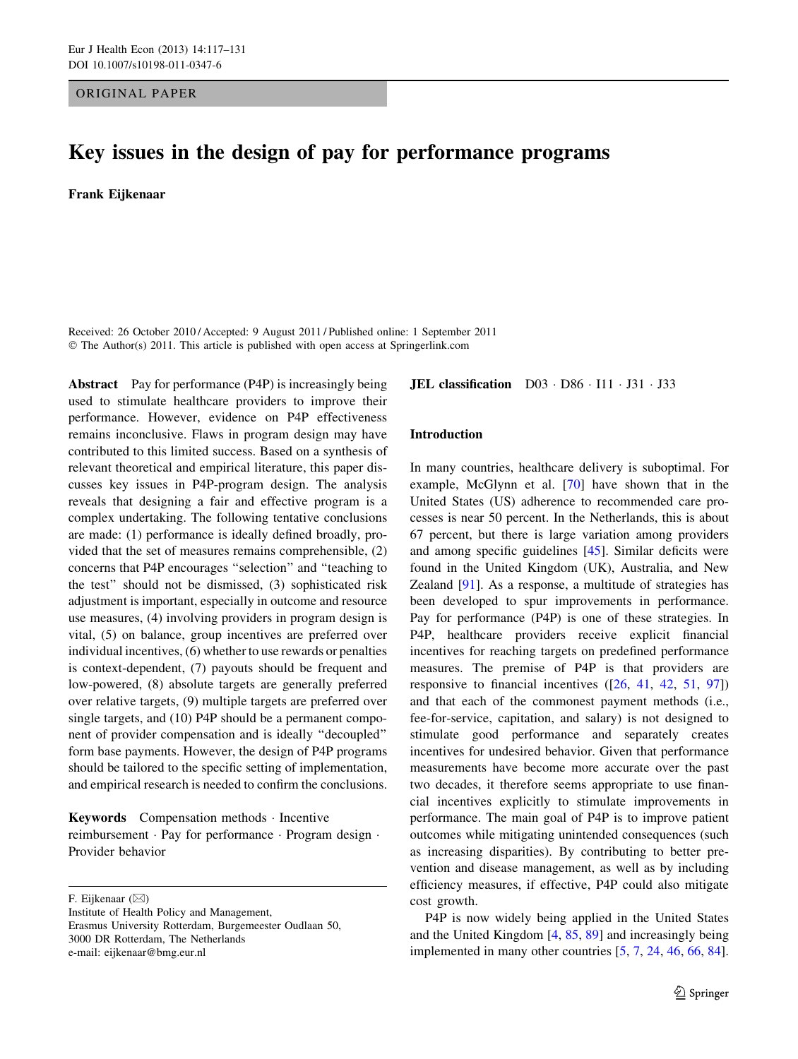## ORIGINAL PAPER

# Key issues in the design of pay for performance programs

Frank Eijkenaar

Received: 26 October 2010 / Accepted: 9 August 2011 / Published online: 1 September 2011 © The Author(s) 2011. This article is published with open access at Springerlink.com

Abstract Pay for performance (P4P) is increasingly being used to stimulate healthcare providers to improve their performance. However, evidence on P4P effectiveness remains inconclusive. Flaws in program design may have contributed to this limited success. Based on a synthesis of relevant theoretical and empirical literature, this paper discusses key issues in P4P-program design. The analysis reveals that designing a fair and effective program is a complex undertaking. The following tentative conclusions are made: (1) performance is ideally defined broadly, provided that the set of measures remains comprehensible, (2) concerns that P4P encourages ''selection'' and ''teaching to the test'' should not be dismissed, (3) sophisticated risk adjustment is important, especially in outcome and resource use measures, (4) involving providers in program design is vital, (5) on balance, group incentives are preferred over individual incentives, (6) whether to use rewards or penalties is context-dependent, (7) payouts should be frequent and low-powered, (8) absolute targets are generally preferred over relative targets, (9) multiple targets are preferred over single targets, and (10) P4P should be a permanent component of provider compensation and is ideally ''decoupled'' form base payments. However, the design of P4P programs should be tailored to the specific setting of implementation, and empirical research is needed to confirm the conclusions.

Keywords Compensation methods - Incentive reimbursement · Pay for performance · Program design · Provider behavior

F. Eijkenaar (⊠)

Institute of Health Policy and Management, Erasmus University Rotterdam, Burgemeester Oudlaan 50, 3000 DR Rotterdam, The Netherlands e-mail: eijkenaar@bmg.eur.nl

**JEL classification**  $D03 \cdot D86 \cdot I11 \cdot J31 \cdot J33$ 

## Introduction

In many countries, healthcare delivery is suboptimal. For example, McGlynn et al. [\[70](#page-13-0)] have shown that in the United States (US) adherence to recommended care processes is near 50 percent. In the Netherlands, this is about 67 percent, but there is large variation among providers and among specific guidelines [[45\]](#page-13-0). Similar deficits were found in the United Kingdom (UK), Australia, and New Zealand [\[91](#page-14-0)]. As a response, a multitude of strategies has been developed to spur improvements in performance. Pay for performance (P4P) is one of these strategies. In P4P, healthcare providers receive explicit financial incentives for reaching targets on predefined performance measures. The premise of P4P is that providers are responsive to financial incentives  $(26, 41, 42, 51, 97)$  $(26, 41, 42, 51, 97)$  $(26, 41, 42, 51, 97)$  $(26, 41, 42, 51, 97)$  $(26, 41, 42, 51, 97)$  $(26, 41, 42, 51, 97)$  $(26, 41, 42, 51, 97)$ and that each of the commonest payment methods (i.e., fee-for-service, capitation, and salary) is not designed to stimulate good performance and separately creates incentives for undesired behavior. Given that performance measurements have become more accurate over the past two decades, it therefore seems appropriate to use financial incentives explicitly to stimulate improvements in performance. The main goal of P4P is to improve patient outcomes while mitigating unintended consequences (such as increasing disparities). By contributing to better prevention and disease management, as well as by including efficiency measures, if effective, P4P could also mitigate cost growth.

P4P is now widely being applied in the United States and the United Kingdom [[4,](#page-12-0) [85](#page-14-0), [89](#page-14-0)] and increasingly being implemented in many other countries [[5,](#page-12-0) [7,](#page-12-0) [24,](#page-12-0) [46](#page-13-0), [66](#page-13-0), [84](#page-14-0)].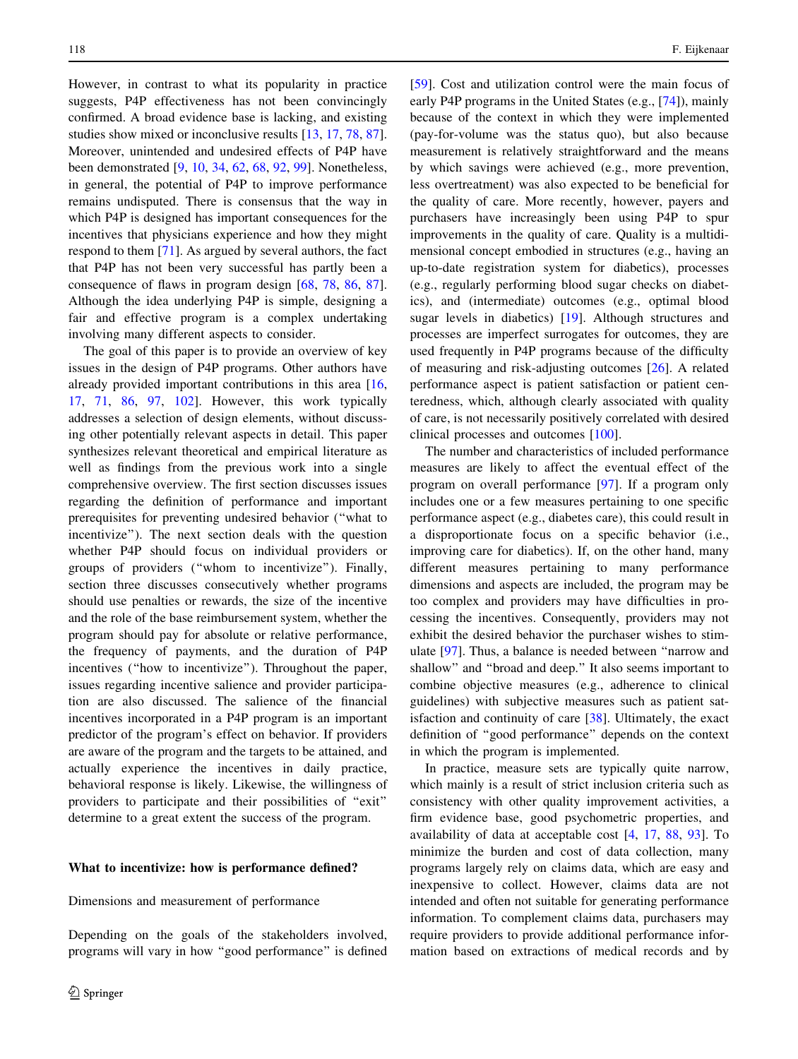However, in contrast to what its popularity in practice suggests, P4P effectiveness has not been convincingly confirmed. A broad evidence base is lacking, and existing studies show mixed or inconclusive results [\[13](#page-12-0), [17](#page-12-0), [78](#page-13-0), [87](#page-14-0)]. Moreover, unintended and undesired effects of P4P have been demonstrated [[9,](#page-12-0) [10](#page-12-0), [34](#page-12-0), [62](#page-13-0), [68,](#page-13-0) [92,](#page-14-0) [99](#page-14-0)]. Nonetheless, in general, the potential of P4P to improve performance remains undisputed. There is consensus that the way in which P4P is designed has important consequences for the incentives that physicians experience and how they might respond to them [[71\]](#page-13-0). As argued by several authors, the fact that P4P has not been very successful has partly been a consequence of flaws in program design [[68,](#page-13-0) [78,](#page-13-0) [86](#page-14-0), [87](#page-14-0)]. Although the idea underlying P4P is simple, designing a fair and effective program is a complex undertaking involving many different aspects to consider.

The goal of this paper is to provide an overview of key issues in the design of P4P programs. Other authors have already provided important contributions in this area [[16,](#page-12-0) [17,](#page-12-0) [71,](#page-13-0) [86,](#page-14-0) [97](#page-14-0), [102](#page-14-0)]. However, this work typically addresses a selection of design elements, without discussing other potentially relevant aspects in detail. This paper synthesizes relevant theoretical and empirical literature as well as findings from the previous work into a single comprehensive overview. The first section discusses issues regarding the definition of performance and important prerequisites for preventing undesired behavior (''what to incentivize''). The next section deals with the question whether P4P should focus on individual providers or groups of providers (''whom to incentivize''). Finally, section three discusses consecutively whether programs should use penalties or rewards, the size of the incentive and the role of the base reimbursement system, whether the program should pay for absolute or relative performance, the frequency of payments, and the duration of P4P incentives (''how to incentivize''). Throughout the paper, issues regarding incentive salience and provider participation are also discussed. The salience of the financial incentives incorporated in a P4P program is an important predictor of the program's effect on behavior. If providers are aware of the program and the targets to be attained, and actually experience the incentives in daily practice, behavioral response is likely. Likewise, the willingness of providers to participate and their possibilities of ''exit'' determine to a great extent the success of the program.

## What to incentivize: how is performance defined?

## Dimensions and measurement of performance

Depending on the goals of the stakeholders involved, programs will vary in how ''good performance'' is defined

[\[59](#page-13-0)]. Cost and utilization control were the main focus of early P4P programs in the United States (e.g., [[74\]](#page-13-0)), mainly because of the context in which they were implemented (pay-for-volume was the status quo), but also because measurement is relatively straightforward and the means by which savings were achieved (e.g., more prevention, less overtreatment) was also expected to be beneficial for the quality of care. More recently, however, payers and purchasers have increasingly been using P4P to spur improvements in the quality of care. Quality is a multidimensional concept embodied in structures (e.g., having an up-to-date registration system for diabetics), processes (e.g., regularly performing blood sugar checks on diabetics), and (intermediate) outcomes (e.g., optimal blood sugar levels in diabetics) [[19\]](#page-12-0). Although structures and processes are imperfect surrogates for outcomes, they are used frequently in P4P programs because of the difficulty of measuring and risk-adjusting outcomes [\[26](#page-12-0)]. A related performance aspect is patient satisfaction or patient centeredness, which, although clearly associated with quality of care, is not necessarily positively correlated with desired clinical processes and outcomes [\[100](#page-14-0)].

The number and characteristics of included performance measures are likely to affect the eventual effect of the program on overall performance [[97\]](#page-14-0). If a program only includes one or a few measures pertaining to one specific performance aspect (e.g., diabetes care), this could result in a disproportionate focus on a specific behavior (i.e., improving care for diabetics). If, on the other hand, many different measures pertaining to many performance dimensions and aspects are included, the program may be too complex and providers may have difficulties in processing the incentives. Consequently, providers may not exhibit the desired behavior the purchaser wishes to stimulate [[97\]](#page-14-0). Thus, a balance is needed between ''narrow and shallow'' and ''broad and deep.'' It also seems important to combine objective measures (e.g., adherence to clinical guidelines) with subjective measures such as patient satisfaction and continuity of care [\[38\]](#page-12-0). Ultimately, the exact definition of ''good performance'' depends on the context in which the program is implemented.

In practice, measure sets are typically quite narrow, which mainly is a result of strict inclusion criteria such as consistency with other quality improvement activities, a firm evidence base, good psychometric properties, and availability of data at acceptable cost [\[4](#page-12-0), [17,](#page-12-0) [88,](#page-14-0) [93](#page-14-0)]. To minimize the burden and cost of data collection, many programs largely rely on claims data, which are easy and inexpensive to collect. However, claims data are not intended and often not suitable for generating performance information. To complement claims data, purchasers may require providers to provide additional performance information based on extractions of medical records and by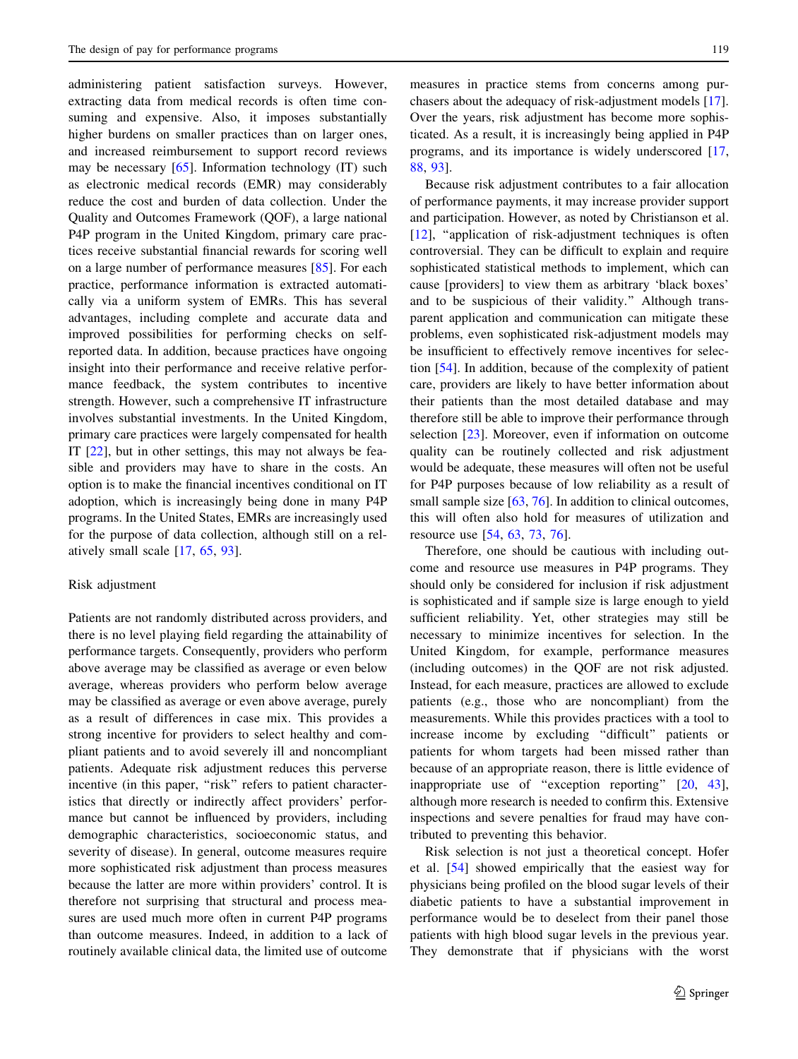administering patient satisfaction surveys. However, extracting data from medical records is often time consuming and expensive. Also, it imposes substantially higher burdens on smaller practices than on larger ones, and increased reimbursement to support record reviews may be necessary [\[65](#page-13-0)]. Information technology (IT) such as electronic medical records (EMR) may considerably reduce the cost and burden of data collection. Under the Quality and Outcomes Framework (QOF), a large national P4P program in the United Kingdom, primary care practices receive substantial financial rewards for scoring well on a large number of performance measures [\[85](#page-14-0)]. For each practice, performance information is extracted automatically via a uniform system of EMRs. This has several advantages, including complete and accurate data and improved possibilities for performing checks on selfreported data. In addition, because practices have ongoing insight into their performance and receive relative performance feedback, the system contributes to incentive strength. However, such a comprehensive IT infrastructure involves substantial investments. In the United Kingdom, primary care practices were largely compensated for health IT [\[22](#page-12-0)], but in other settings, this may not always be feasible and providers may have to share in the costs. An option is to make the financial incentives conditional on IT adoption, which is increasingly being done in many P4P programs. In the United States, EMRs are increasingly used for the purpose of data collection, although still on a relatively small scale [\[17](#page-12-0), [65](#page-13-0), [93](#page-14-0)].

## Risk adjustment

Patients are not randomly distributed across providers, and there is no level playing field regarding the attainability of performance targets. Consequently, providers who perform above average may be classified as average or even below average, whereas providers who perform below average may be classified as average or even above average, purely as a result of differences in case mix. This provides a strong incentive for providers to select healthy and compliant patients and to avoid severely ill and noncompliant patients. Adequate risk adjustment reduces this perverse incentive (in this paper, "risk" refers to patient characteristics that directly or indirectly affect providers' performance but cannot be influenced by providers, including demographic characteristics, socioeconomic status, and severity of disease). In general, outcome measures require more sophisticated risk adjustment than process measures because the latter are more within providers' control. It is therefore not surprising that structural and process measures are used much more often in current P4P programs than outcome measures. Indeed, in addition to a lack of routinely available clinical data, the limited use of outcome measures in practice stems from concerns among purchasers about the adequacy of risk-adjustment models [\[17](#page-12-0)]. Over the years, risk adjustment has become more sophisticated. As a result, it is increasingly being applied in P4P programs, and its importance is widely underscored [[17,](#page-12-0) [88](#page-14-0), [93\]](#page-14-0).

Because risk adjustment contributes to a fair allocation of performance payments, it may increase provider support and participation. However, as noted by Christianson et al. [\[12](#page-12-0)], "application of risk-adjustment techniques is often controversial. They can be difficult to explain and require sophisticated statistical methods to implement, which can cause [providers] to view them as arbitrary 'black boxes' and to be suspicious of their validity.'' Although transparent application and communication can mitigate these problems, even sophisticated risk-adjustment models may be insufficient to effectively remove incentives for selection [[54\]](#page-13-0). In addition, because of the complexity of patient care, providers are likely to have better information about their patients than the most detailed database and may therefore still be able to improve their performance through selection [[23\]](#page-12-0). Moreover, even if information on outcome quality can be routinely collected and risk adjustment would be adequate, these measures will often not be useful for P4P purposes because of low reliability as a result of small sample size [\[63](#page-13-0), [76](#page-13-0)]. In addition to clinical outcomes, this will often also hold for measures of utilization and resource use [\[54](#page-13-0), [63](#page-13-0), [73,](#page-13-0) [76\]](#page-13-0).

Therefore, one should be cautious with including outcome and resource use measures in P4P programs. They should only be considered for inclusion if risk adjustment is sophisticated and if sample size is large enough to yield sufficient reliability. Yet, other strategies may still be necessary to minimize incentives for selection. In the United Kingdom, for example, performance measures (including outcomes) in the QOF are not risk adjusted. Instead, for each measure, practices are allowed to exclude patients (e.g., those who are noncompliant) from the measurements. While this provides practices with a tool to increase income by excluding ''difficult'' patients or patients for whom targets had been missed rather than because of an appropriate reason, there is little evidence of inappropriate use of ''exception reporting'' [[20,](#page-12-0) [43](#page-13-0)], although more research is needed to confirm this. Extensive inspections and severe penalties for fraud may have contributed to preventing this behavior.

Risk selection is not just a theoretical concept. Hofer et al. [[54\]](#page-13-0) showed empirically that the easiest way for physicians being profiled on the blood sugar levels of their diabetic patients to have a substantial improvement in performance would be to deselect from their panel those patients with high blood sugar levels in the previous year. They demonstrate that if physicians with the worst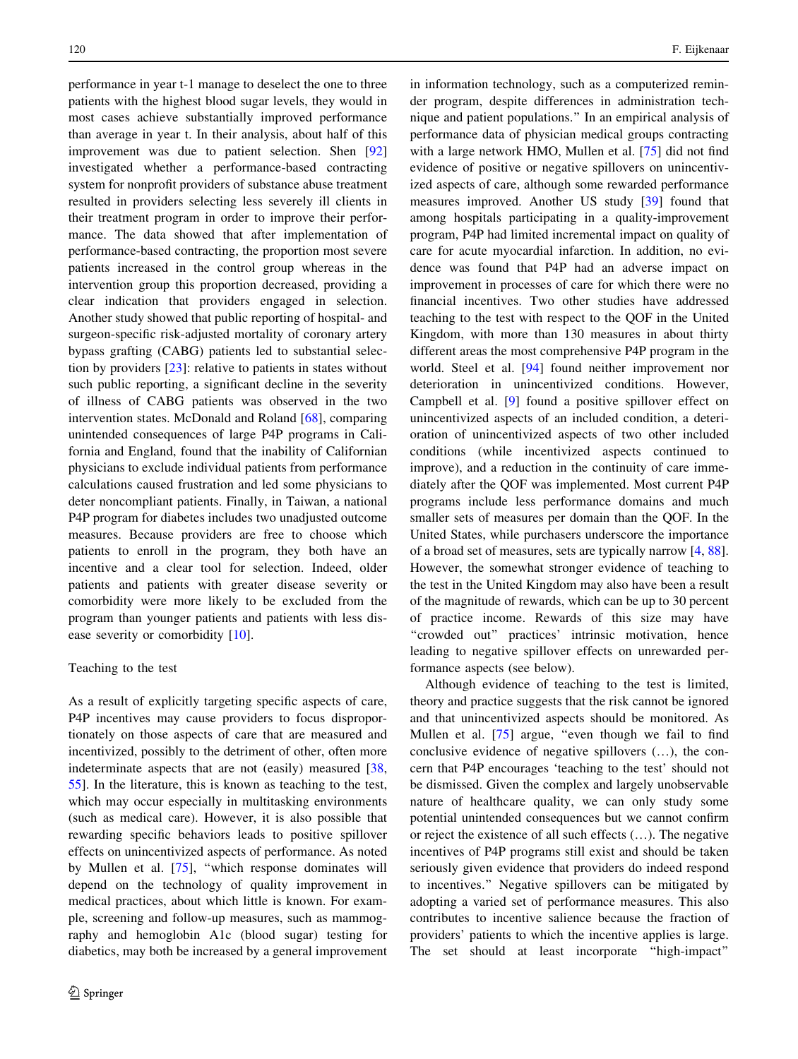performance in year t-1 manage to deselect the one to three patients with the highest blood sugar levels, they would in most cases achieve substantially improved performance than average in year t. In their analysis, about half of this improvement was due to patient selection. Shen [[92\]](#page-14-0) investigated whether a performance-based contracting system for nonprofit providers of substance abuse treatment resulted in providers selecting less severely ill clients in their treatment program in order to improve their performance. The data showed that after implementation of performance-based contracting, the proportion most severe patients increased in the control group whereas in the intervention group this proportion decreased, providing a clear indication that providers engaged in selection. Another study showed that public reporting of hospital- and surgeon-specific risk-adjusted mortality of coronary artery bypass grafting (CABG) patients led to substantial selection by providers [\[23](#page-12-0)]: relative to patients in states without such public reporting, a significant decline in the severity of illness of CABG patients was observed in the two intervention states. McDonald and Roland [[68\]](#page-13-0), comparing unintended consequences of large P4P programs in California and England, found that the inability of Californian physicians to exclude individual patients from performance calculations caused frustration and led some physicians to deter noncompliant patients. Finally, in Taiwan, a national P4P program for diabetes includes two unadjusted outcome measures. Because providers are free to choose which patients to enroll in the program, they both have an incentive and a clear tool for selection. Indeed, older patients and patients with greater disease severity or comorbidity were more likely to be excluded from the program than younger patients and patients with less disease severity or comorbidity [[10\]](#page-12-0).

## Teaching to the test

As a result of explicitly targeting specific aspects of care, P4P incentives may cause providers to focus disproportionately on those aspects of care that are measured and incentivized, possibly to the detriment of other, often more indeterminate aspects that are not (easily) measured [[38,](#page-12-0) [55\]](#page-13-0). In the literature, this is known as teaching to the test, which may occur especially in multitasking environments (such as medical care). However, it is also possible that rewarding specific behaviors leads to positive spillover effects on unincentivized aspects of performance. As noted by Mullen et al. [[75\]](#page-13-0), ''which response dominates will depend on the technology of quality improvement in medical practices, about which little is known. For example, screening and follow-up measures, such as mammography and hemoglobin A1c (blood sugar) testing for diabetics, may both be increased by a general improvement in information technology, such as a computerized reminder program, despite differences in administration technique and patient populations.'' In an empirical analysis of performance data of physician medical groups contracting with a large network HMO, Mullen et al. [[75\]](#page-13-0) did not find evidence of positive or negative spillovers on unincentivized aspects of care, although some rewarded performance measures improved. Another US study [[39\]](#page-12-0) found that among hospitals participating in a quality-improvement program, P4P had limited incremental impact on quality of care for acute myocardial infarction. In addition, no evidence was found that P4P had an adverse impact on improvement in processes of care for which there were no financial incentives. Two other studies have addressed teaching to the test with respect to the QOF in the United Kingdom, with more than 130 measures in about thirty different areas the most comprehensive P4P program in the world. Steel et al. [[94\]](#page-14-0) found neither improvement nor deterioration in unincentivized conditions. However, Campbell et al. [[9\]](#page-12-0) found a positive spillover effect on unincentivized aspects of an included condition, a deterioration of unincentivized aspects of two other included conditions (while incentivized aspects continued to improve), and a reduction in the continuity of care immediately after the QOF was implemented. Most current P4P programs include less performance domains and much smaller sets of measures per domain than the QOF. In the United States, while purchasers underscore the importance of a broad set of measures, sets are typically narrow [[4,](#page-12-0) [88](#page-14-0)]. However, the somewhat stronger evidence of teaching to the test in the United Kingdom may also have been a result of the magnitude of rewards, which can be up to 30 percent of practice income. Rewards of this size may have "crowded out" practices' intrinsic motivation, hence leading to negative spillover effects on unrewarded performance aspects (see below).

Although evidence of teaching to the test is limited, theory and practice suggests that the risk cannot be ignored and that unincentivized aspects should be monitored. As Mullen et al. [\[75](#page-13-0)] argue, "even though we fail to find conclusive evidence of negative spillovers (…), the concern that P4P encourages 'teaching to the test' should not be dismissed. Given the complex and largely unobservable nature of healthcare quality, we can only study some potential unintended consequences but we cannot confirm or reject the existence of all such effects (…). The negative incentives of P4P programs still exist and should be taken seriously given evidence that providers do indeed respond to incentives.'' Negative spillovers can be mitigated by adopting a varied set of performance measures. This also contributes to incentive salience because the fraction of providers' patients to which the incentive applies is large. The set should at least incorporate "high-impact"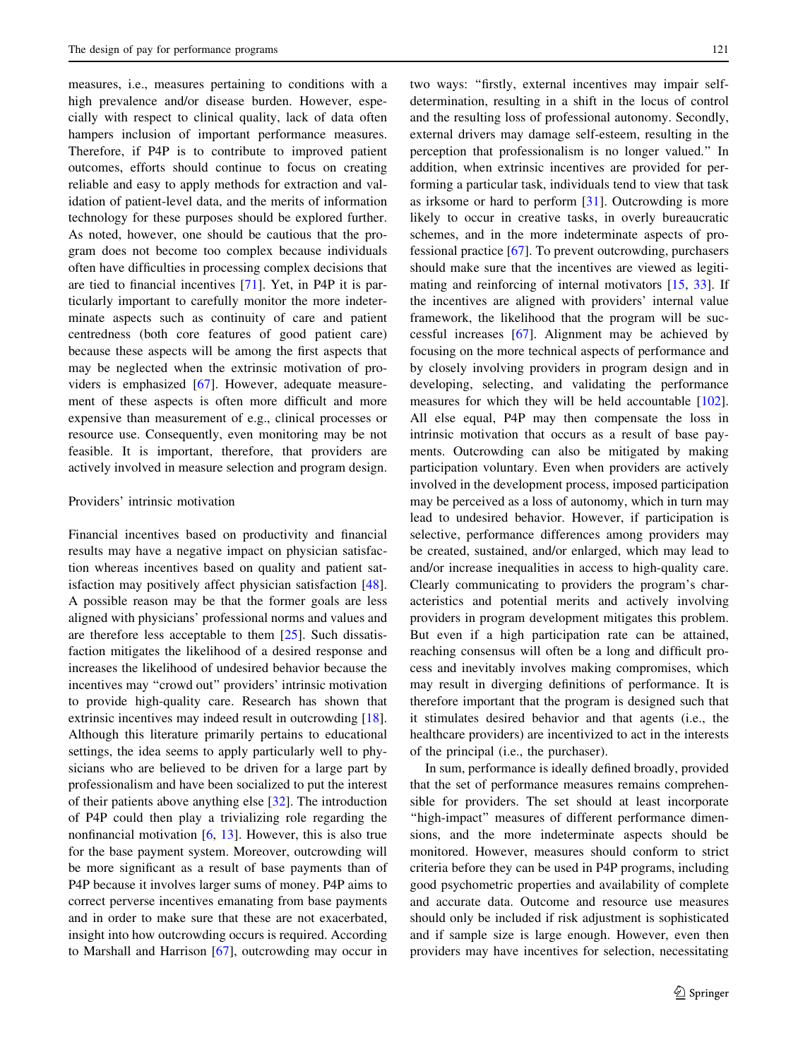measures, i.e., measures pertaining to conditions with a high prevalence and/or disease burden. However, especially with respect to clinical quality, lack of data often hampers inclusion of important performance measures. Therefore, if P4P is to contribute to improved patient outcomes, efforts should continue to focus on creating reliable and easy to apply methods for extraction and validation of patient-level data, and the merits of information technology for these purposes should be explored further. As noted, however, one should be cautious that the program does not become too complex because individuals often have difficulties in processing complex decisions that are tied to financial incentives [[71\]](#page-13-0). Yet, in P4P it is particularly important to carefully monitor the more indeterminate aspects such as continuity of care and patient centredness (both core features of good patient care) because these aspects will be among the first aspects that may be neglected when the extrinsic motivation of providers is emphasized [\[67](#page-13-0)]. However, adequate measurement of these aspects is often more difficult and more expensive than measurement of e.g., clinical processes or resource use. Consequently, even monitoring may be not feasible. It is important, therefore, that providers are actively involved in measure selection and program design.

## Providers' intrinsic motivation

Financial incentives based on productivity and financial results may have a negative impact on physician satisfaction whereas incentives based on quality and patient satisfaction may positively affect physician satisfaction [\[48](#page-13-0)]. A possible reason may be that the former goals are less aligned with physicians' professional norms and values and are therefore less acceptable to them [\[25](#page-12-0)]. Such dissatisfaction mitigates the likelihood of a desired response and increases the likelihood of undesired behavior because the incentives may ''crowd out'' providers' intrinsic motivation to provide high-quality care. Research has shown that extrinsic incentives may indeed result in outcrowding [\[18](#page-12-0)]. Although this literature primarily pertains to educational settings, the idea seems to apply particularly well to physicians who are believed to be driven for a large part by professionalism and have been socialized to put the interest of their patients above anything else [\[32](#page-12-0)]. The introduction of P4P could then play a trivializing role regarding the nonfinancial motivation [[6,](#page-12-0) [13\]](#page-12-0). However, this is also true for the base payment system. Moreover, outcrowding will be more significant as a result of base payments than of P4P because it involves larger sums of money. P4P aims to correct perverse incentives emanating from base payments and in order to make sure that these are not exacerbated, insight into how outcrowding occurs is required. According to Marshall and Harrison [\[67](#page-13-0)], outcrowding may occur in two ways: ''firstly, external incentives may impair selfdetermination, resulting in a shift in the locus of control and the resulting loss of professional autonomy. Secondly, external drivers may damage self-esteem, resulting in the perception that professionalism is no longer valued.'' In addition, when extrinsic incentives are provided for performing a particular task, individuals tend to view that task as irksome or hard to perform [[31\]](#page-12-0). Outcrowding is more likely to occur in creative tasks, in overly bureaucratic schemes, and in the more indeterminate aspects of professional practice [[67\]](#page-13-0). To prevent outcrowding, purchasers should make sure that the incentives are viewed as legitimating and reinforcing of internal motivators [[15](#page-12-0), [33\]](#page-12-0). If the incentives are aligned with providers' internal value framework, the likelihood that the program will be successful increases [\[67](#page-13-0)]. Alignment may be achieved by focusing on the more technical aspects of performance and by closely involving providers in program design and in developing, selecting, and validating the performance measures for which they will be held accountable [\[102](#page-14-0)]. All else equal, P4P may then compensate the loss in intrinsic motivation that occurs as a result of base payments. Outcrowding can also be mitigated by making participation voluntary. Even when providers are actively involved in the development process, imposed participation may be perceived as a loss of autonomy, which in turn may lead to undesired behavior. However, if participation is selective, performance differences among providers may be created, sustained, and/or enlarged, which may lead to and/or increase inequalities in access to high-quality care. Clearly communicating to providers the program's characteristics and potential merits and actively involving providers in program development mitigates this problem. But even if a high participation rate can be attained, reaching consensus will often be a long and difficult process and inevitably involves making compromises, which may result in diverging definitions of performance. It is therefore important that the program is designed such that it stimulates desired behavior and that agents (i.e., the healthcare providers) are incentivized to act in the interests of the principal (i.e., the purchaser).

In sum, performance is ideally defined broadly, provided that the set of performance measures remains comprehensible for providers. The set should at least incorporate "high-impact" measures of different performance dimensions, and the more indeterminate aspects should be monitored. However, measures should conform to strict criteria before they can be used in P4P programs, including good psychometric properties and availability of complete and accurate data. Outcome and resource use measures should only be included if risk adjustment is sophisticated and if sample size is large enough. However, even then providers may have incentives for selection, necessitating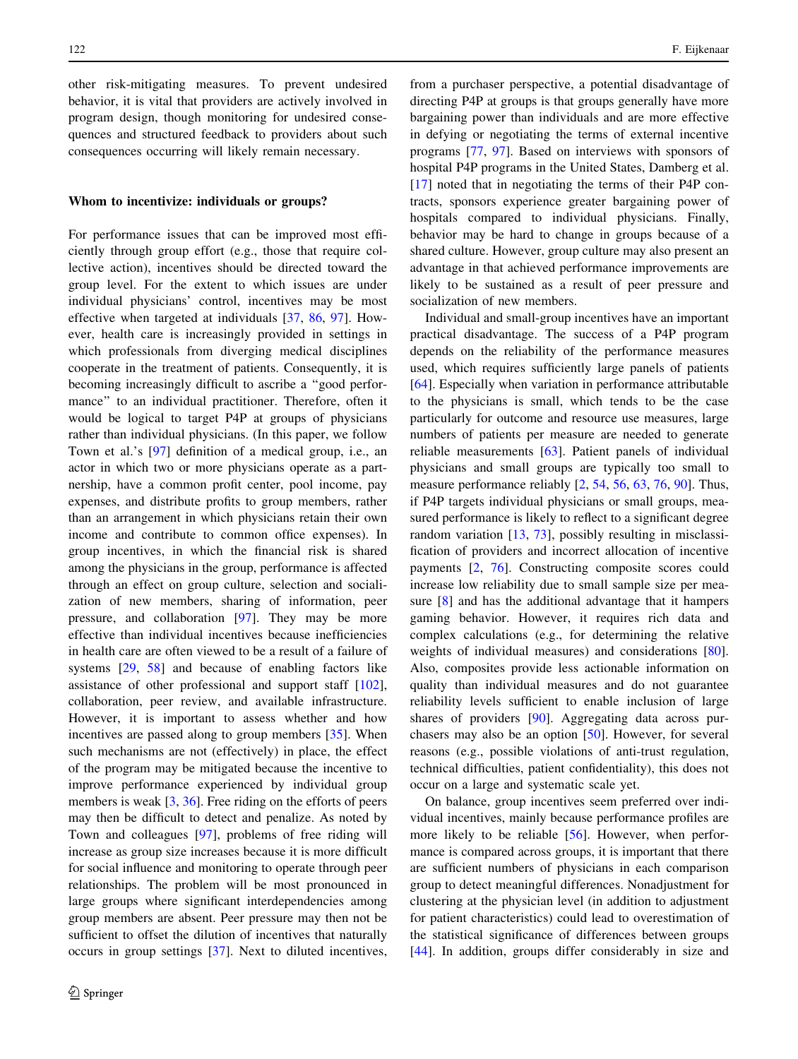other risk-mitigating measures. To prevent undesired behavior, it is vital that providers are actively involved in program design, though monitoring for undesired consequences and structured feedback to providers about such consequences occurring will likely remain necessary.

#### Whom to incentivize: individuals or groups?

For performance issues that can be improved most efficiently through group effort (e.g., those that require collective action), incentives should be directed toward the group level. For the extent to which issues are under individual physicians' control, incentives may be most effective when targeted at individuals [\[37](#page-12-0), [86,](#page-14-0) [97\]](#page-14-0). However, health care is increasingly provided in settings in which professionals from diverging medical disciplines cooperate in the treatment of patients. Consequently, it is becoming increasingly difficult to ascribe a ''good performance'' to an individual practitioner. Therefore, often it would be logical to target P4P at groups of physicians rather than individual physicians. (In this paper, we follow Town et al.'s [\[97](#page-14-0)] definition of a medical group, i.e., an actor in which two or more physicians operate as a partnership, have a common profit center, pool income, pay expenses, and distribute profits to group members, rather than an arrangement in which physicians retain their own income and contribute to common office expenses). In group incentives, in which the financial risk is shared among the physicians in the group, performance is affected through an effect on group culture, selection and socialization of new members, sharing of information, peer pressure, and collaboration [\[97\]](#page-14-0). They may be more effective than individual incentives because inefficiencies in health care are often viewed to be a result of a failure of systems [[29,](#page-12-0) [58\]](#page-13-0) and because of enabling factors like assistance of other professional and support staff [\[102](#page-14-0)], collaboration, peer review, and available infrastructure. However, it is important to assess whether and how incentives are passed along to group members [\[35](#page-12-0)]. When such mechanisms are not (effectively) in place, the effect of the program may be mitigated because the incentive to improve performance experienced by individual group members is weak [\[3](#page-12-0), [36](#page-12-0)]. Free riding on the efforts of peers may then be difficult to detect and penalize. As noted by Town and colleagues [[97\]](#page-14-0), problems of free riding will increase as group size increases because it is more difficult for social influence and monitoring to operate through peer relationships. The problem will be most pronounced in large groups where significant interdependencies among group members are absent. Peer pressure may then not be sufficient to offset the dilution of incentives that naturally occurs in group settings [[37\]](#page-12-0). Next to diluted incentives, from a purchaser perspective, a potential disadvantage of directing P4P at groups is that groups generally have more bargaining power than individuals and are more effective in defying or negotiating the terms of external incentive programs [\[77](#page-13-0), [97\]](#page-14-0). Based on interviews with sponsors of hospital P4P programs in the United States, Damberg et al. [\[17](#page-12-0)] noted that in negotiating the terms of their P4P contracts, sponsors experience greater bargaining power of hospitals compared to individual physicians. Finally, behavior may be hard to change in groups because of a shared culture. However, group culture may also present an advantage in that achieved performance improvements are likely to be sustained as a result of peer pressure and socialization of new members.

Individual and small-group incentives have an important practical disadvantage. The success of a P4P program depends on the reliability of the performance measures used, which requires sufficiently large panels of patients [\[64](#page-13-0)]. Especially when variation in performance attributable to the physicians is small, which tends to be the case particularly for outcome and resource use measures, large numbers of patients per measure are needed to generate reliable measurements [[63\]](#page-13-0). Patient panels of individual physicians and small groups are typically too small to measure performance reliably [\[2](#page-12-0), [54](#page-13-0), [56,](#page-13-0) [63,](#page-13-0) [76](#page-13-0), [90](#page-14-0)]. Thus, if P4P targets individual physicians or small groups, measured performance is likely to reflect to a significant degree random variation [[13,](#page-12-0) [73](#page-13-0)], possibly resulting in misclassification of providers and incorrect allocation of incentive payments [\[2](#page-12-0), [76](#page-13-0)]. Constructing composite scores could increase low reliability due to small sample size per measure [[8\]](#page-12-0) and has the additional advantage that it hampers gaming behavior. However, it requires rich data and complex calculations (e.g., for determining the relative weights of individual measures) and considerations [\[80](#page-13-0)]. Also, composites provide less actionable information on quality than individual measures and do not guarantee reliability levels sufficient to enable inclusion of large shares of providers [\[90](#page-14-0)]. Aggregating data across purchasers may also be an option [\[50](#page-13-0)]. However, for several reasons (e.g., possible violations of anti-trust regulation, technical difficulties, patient confidentiality), this does not occur on a large and systematic scale yet.

On balance, group incentives seem preferred over individual incentives, mainly because performance profiles are more likely to be reliable [\[56](#page-13-0)]. However, when performance is compared across groups, it is important that there are sufficient numbers of physicians in each comparison group to detect meaningful differences. Nonadjustment for clustering at the physician level (in addition to adjustment for patient characteristics) could lead to overestimation of the statistical significance of differences between groups [\[44](#page-13-0)]. In addition, groups differ considerably in size and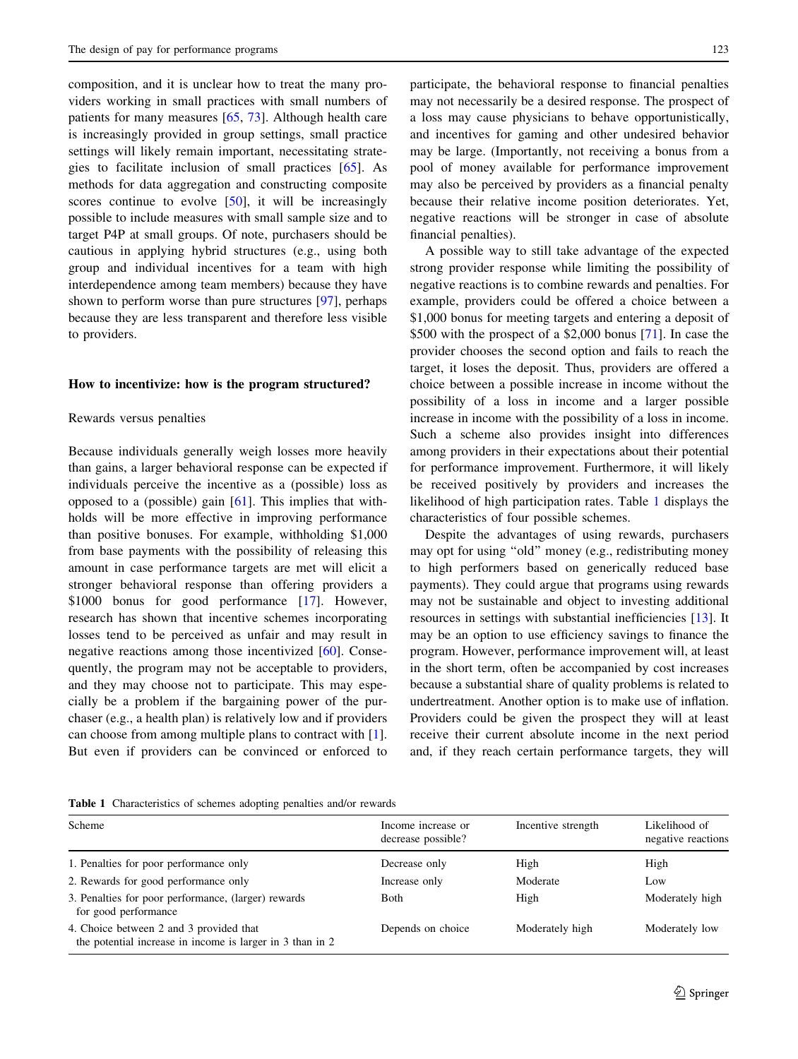composition, and it is unclear how to treat the many providers working in small practices with small numbers of patients for many measures [\[65](#page-13-0), [73\]](#page-13-0). Although health care is increasingly provided in group settings, small practice settings will likely remain important, necessitating strategies to facilitate inclusion of small practices [[65\]](#page-13-0). As methods for data aggregation and constructing composite scores continue to evolve  $[50]$  $[50]$ , it will be increasingly possible to include measures with small sample size and to target P4P at small groups. Of note, purchasers should be cautious in applying hybrid structures (e.g., using both group and individual incentives for a team with high interdependence among team members) because they have shown to perform worse than pure structures [\[97](#page-14-0)], perhaps because they are less transparent and therefore less visible to providers.

#### How to incentivize: how is the program structured?

#### Rewards versus penalties

Because individuals generally weigh losses more heavily than gains, a larger behavioral response can be expected if individuals perceive the incentive as a (possible) loss as opposed to a (possible) gain [\[61](#page-13-0)]. This implies that withholds will be more effective in improving performance than positive bonuses. For example, withholding \$1,000 from base payments with the possibility of releasing this amount in case performance targets are met will elicit a stronger behavioral response than offering providers a \$1000 bonus for good performance [\[17](#page-12-0)]. However, research has shown that incentive schemes incorporating losses tend to be perceived as unfair and may result in negative reactions among those incentivized [\[60](#page-13-0)]. Consequently, the program may not be acceptable to providers, and they may choose not to participate. This may especially be a problem if the bargaining power of the purchaser (e.g., a health plan) is relatively low and if providers can choose from among multiple plans to contract with [\[1](#page-12-0)]. But even if providers can be convinced or enforced to participate, the behavioral response to financial penalties may not necessarily be a desired response. The prospect of a loss may cause physicians to behave opportunistically, and incentives for gaming and other undesired behavior may be large. (Importantly, not receiving a bonus from a pool of money available for performance improvement may also be perceived by providers as a financial penalty because their relative income position deteriorates. Yet, negative reactions will be stronger in case of absolute financial penalties).

A possible way to still take advantage of the expected strong provider response while limiting the possibility of negative reactions is to combine rewards and penalties. For example, providers could be offered a choice between a \$1,000 bonus for meeting targets and entering a deposit of \$500 with the prospect of a \$2,000 bonus [[71\]](#page-13-0). In case the provider chooses the second option and fails to reach the target, it loses the deposit. Thus, providers are offered a choice between a possible increase in income without the possibility of a loss in income and a larger possible increase in income with the possibility of a loss in income. Such a scheme also provides insight into differences among providers in their expectations about their potential for performance improvement. Furthermore, it will likely be received positively by providers and increases the likelihood of high participation rates. Table 1 displays the characteristics of four possible schemes.

Despite the advantages of using rewards, purchasers may opt for using "old" money (e.g., redistributing money to high performers based on generically reduced base payments). They could argue that programs using rewards may not be sustainable and object to investing additional resources in settings with substantial inefficiencies [\[13](#page-12-0)]. It may be an option to use efficiency savings to finance the program. However, performance improvement will, at least in the short term, often be accompanied by cost increases because a substantial share of quality problems is related to undertreatment. Another option is to make use of inflation. Providers could be given the prospect they will at least receive their current absolute income in the next period and, if they reach certain performance targets, they will

| Income increase or<br>decrease possible? | Incentive strength | Likelihood of<br>negative reactions |
|------------------------------------------|--------------------|-------------------------------------|
| Decrease only                            | High               | High                                |
| Increase only                            | Moderate           | Low                                 |
| Both                                     | High               | Moderately high                     |
| Depends on choice                        | Moderately high    | Moderately low                      |
|                                          |                    |                                     |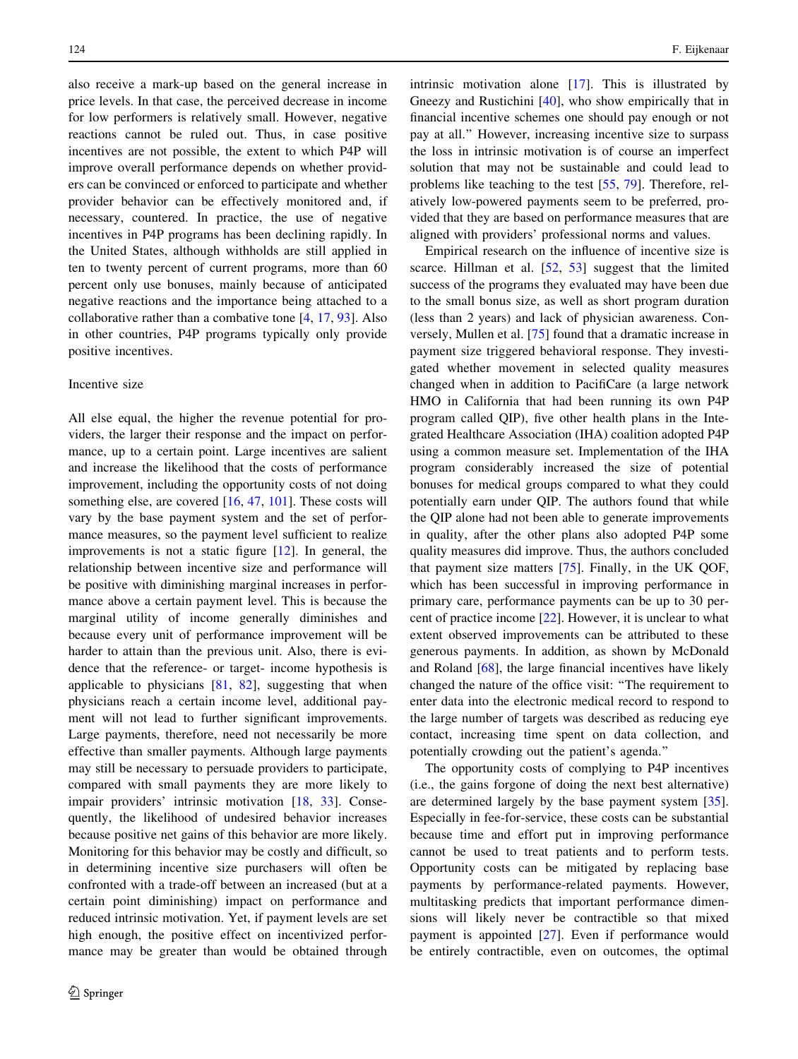also receive a mark-up based on the general increase in price levels. In that case, the perceived decrease in income for low performers is relatively small. However, negative reactions cannot be ruled out. Thus, in case positive incentives are not possible, the extent to which P4P will improve overall performance depends on whether providers can be convinced or enforced to participate and whether provider behavior can be effectively monitored and, if necessary, countered. In practice, the use of negative incentives in P4P programs has been declining rapidly. In the United States, although withholds are still applied in ten to twenty percent of current programs, more than 60 percent only use bonuses, mainly because of anticipated negative reactions and the importance being attached to a collaborative rather than a combative tone [[4,](#page-12-0) [17,](#page-12-0) [93\]](#page-14-0). Also in other countries, P4P programs typically only provide positive incentives.

#### Incentive size

All else equal, the higher the revenue potential for providers, the larger their response and the impact on performance, up to a certain point. Large incentives are salient and increase the likelihood that the costs of performance improvement, including the opportunity costs of not doing something else, are covered  $[16, 47, 101]$  $[16, 47, 101]$  $[16, 47, 101]$  $[16, 47, 101]$  $[16, 47, 101]$  $[16, 47, 101]$  $[16, 47, 101]$ . These costs will vary by the base payment system and the set of performance measures, so the payment level sufficient to realize improvements is not a static figure [\[12](#page-12-0)]. In general, the relationship between incentive size and performance will be positive with diminishing marginal increases in performance above a certain payment level. This is because the marginal utility of income generally diminishes and because every unit of performance improvement will be harder to attain than the previous unit. Also, there is evidence that the reference- or target- income hypothesis is applicable to physicians  $[81, 82]$  $[81, 82]$  $[81, 82]$  $[81, 82]$ , suggesting that when physicians reach a certain income level, additional payment will not lead to further significant improvements. Large payments, therefore, need not necessarily be more effective than smaller payments. Although large payments may still be necessary to persuade providers to participate, compared with small payments they are more likely to impair providers' intrinsic motivation [\[18](#page-12-0), [33](#page-12-0)]. Consequently, the likelihood of undesired behavior increases because positive net gains of this behavior are more likely. Monitoring for this behavior may be costly and difficult, so in determining incentive size purchasers will often be confronted with a trade-off between an increased (but at a certain point diminishing) impact on performance and reduced intrinsic motivation. Yet, if payment levels are set high enough, the positive effect on incentivized performance may be greater than would be obtained through intrinsic motivation alone [\[17](#page-12-0)]. This is illustrated by Gneezy and Rustichini [\[40](#page-12-0)], who show empirically that in financial incentive schemes one should pay enough or not pay at all.'' However, increasing incentive size to surpass the loss in intrinsic motivation is of course an imperfect solution that may not be sustainable and could lead to problems like teaching to the test [[55,](#page-13-0) [79\]](#page-13-0). Therefore, relatively low-powered payments seem to be preferred, provided that they are based on performance measures that are aligned with providers' professional norms and values.

Empirical research on the influence of incentive size is scarce. Hillman et al. [\[52](#page-13-0), [53\]](#page-13-0) suggest that the limited success of the programs they evaluated may have been due to the small bonus size, as well as short program duration (less than 2 years) and lack of physician awareness. Conversely, Mullen et al. [[75\]](#page-13-0) found that a dramatic increase in payment size triggered behavioral response. They investigated whether movement in selected quality measures changed when in addition to PacifiCare (a large network HMO in California that had been running its own P4P program called QIP), five other health plans in the Integrated Healthcare Association (IHA) coalition adopted P4P using a common measure set. Implementation of the IHA program considerably increased the size of potential bonuses for medical groups compared to what they could potentially earn under QIP. The authors found that while the QIP alone had not been able to generate improvements in quality, after the other plans also adopted P4P some quality measures did improve. Thus, the authors concluded that payment size matters [\[75](#page-13-0)]. Finally, in the UK QOF, which has been successful in improving performance in primary care, performance payments can be up to 30 percent of practice income [[22\]](#page-12-0). However, it is unclear to what extent observed improvements can be attributed to these generous payments. In addition, as shown by McDonald and Roland [\[68](#page-13-0)], the large financial incentives have likely changed the nature of the office visit: ''The requirement to enter data into the electronic medical record to respond to the large number of targets was described as reducing eye contact, increasing time spent on data collection, and potentially crowding out the patient's agenda.''

The opportunity costs of complying to P4P incentives (i.e., the gains forgone of doing the next best alternative) are determined largely by the base payment system [\[35](#page-12-0)]. Especially in fee-for-service, these costs can be substantial because time and effort put in improving performance cannot be used to treat patients and to perform tests. Opportunity costs can be mitigated by replacing base payments by performance-related payments. However, multitasking predicts that important performance dimensions will likely never be contractible so that mixed payment is appointed [[27\]](#page-12-0). Even if performance would be entirely contractible, even on outcomes, the optimal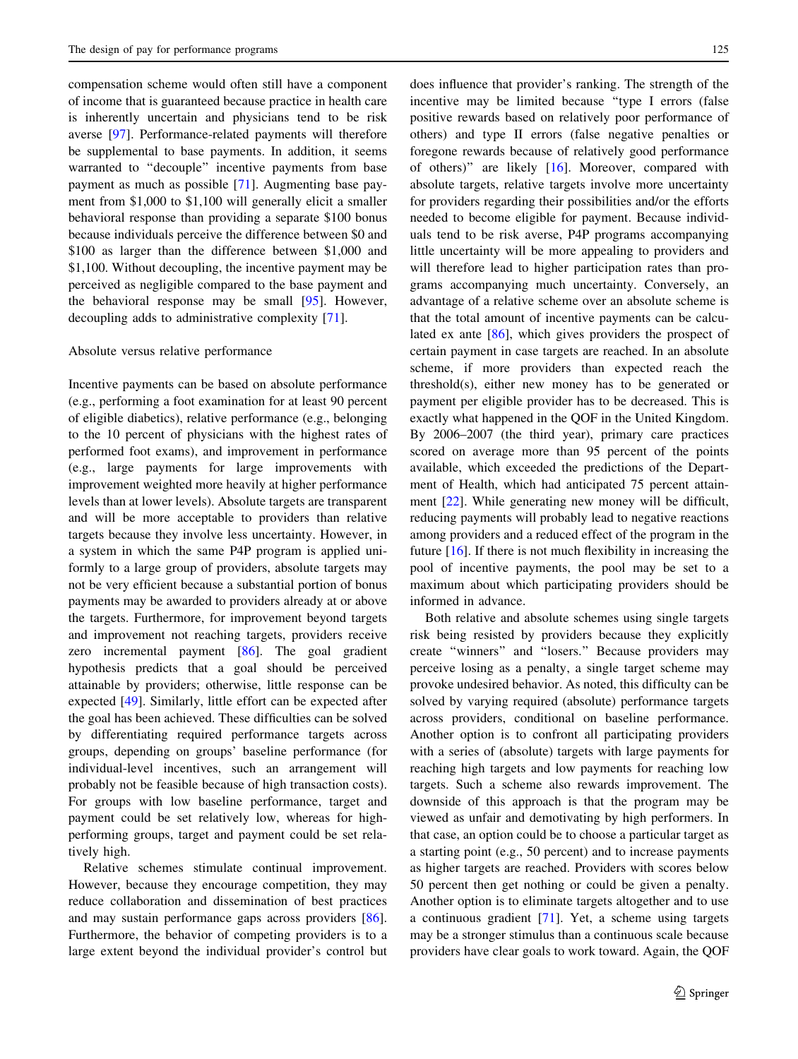compensation scheme would often still have a component of income that is guaranteed because practice in health care is inherently uncertain and physicians tend to be risk averse [\[97](#page-14-0)]. Performance-related payments will therefore be supplemental to base payments. In addition, it seems warranted to ''decouple'' incentive payments from base payment as much as possible [[71\]](#page-13-0). Augmenting base payment from \$1,000 to \$1,100 will generally elicit a smaller behavioral response than providing a separate \$100 bonus because individuals perceive the difference between \$0 and \$100 as larger than the difference between \$1,000 and \$1,100. Without decoupling, the incentive payment may be perceived as negligible compared to the base payment and the behavioral response may be small [\[95](#page-14-0)]. However, decoupling adds to administrative complexity [\[71](#page-13-0)].

## Absolute versus relative performance

Incentive payments can be based on absolute performance (e.g., performing a foot examination for at least 90 percent of eligible diabetics), relative performance (e.g., belonging to the 10 percent of physicians with the highest rates of performed foot exams), and improvement in performance (e.g., large payments for large improvements with improvement weighted more heavily at higher performance levels than at lower levels). Absolute targets are transparent and will be more acceptable to providers than relative targets because they involve less uncertainty. However, in a system in which the same P4P program is applied uniformly to a large group of providers, absolute targets may not be very efficient because a substantial portion of bonus payments may be awarded to providers already at or above the targets. Furthermore, for improvement beyond targets and improvement not reaching targets, providers receive zero incremental payment [[86\]](#page-14-0). The goal gradient hypothesis predicts that a goal should be perceived attainable by providers; otherwise, little response can be expected [\[49](#page-13-0)]. Similarly, little effort can be expected after the goal has been achieved. These difficulties can be solved by differentiating required performance targets across groups, depending on groups' baseline performance (for individual-level incentives, such an arrangement will probably not be feasible because of high transaction costs). For groups with low baseline performance, target and payment could be set relatively low, whereas for highperforming groups, target and payment could be set relatively high.

Relative schemes stimulate continual improvement. However, because they encourage competition, they may reduce collaboration and dissemination of best practices and may sustain performance gaps across providers [\[86](#page-14-0)]. Furthermore, the behavior of competing providers is to a large extent beyond the individual provider's control but does influence that provider's ranking. The strength of the incentive may be limited because ''type I errors (false positive rewards based on relatively poor performance of others) and type II errors (false negative penalties or foregone rewards because of relatively good performance of others)'' are likely [[16\]](#page-12-0). Moreover, compared with absolute targets, relative targets involve more uncertainty for providers regarding their possibilities and/or the efforts needed to become eligible for payment. Because individuals tend to be risk averse, P4P programs accompanying little uncertainty will be more appealing to providers and will therefore lead to higher participation rates than programs accompanying much uncertainty. Conversely, an advantage of a relative scheme over an absolute scheme is that the total amount of incentive payments can be calculated ex ante [[86](#page-14-0)], which gives providers the prospect of certain payment in case targets are reached. In an absolute scheme, if more providers than expected reach the threshold(s), either new money has to be generated or payment per eligible provider has to be decreased. This is exactly what happened in the QOF in the United Kingdom. By 2006–2007 (the third year), primary care practices scored on average more than 95 percent of the points available, which exceeded the predictions of the Department of Health, which had anticipated 75 percent attainment [\[22](#page-12-0)]. While generating new money will be difficult, reducing payments will probably lead to negative reactions among providers and a reduced effect of the program in the future [[16\]](#page-12-0). If there is not much flexibility in increasing the pool of incentive payments, the pool may be set to a maximum about which participating providers should be informed in advance.

Both relative and absolute schemes using single targets risk being resisted by providers because they explicitly create ''winners'' and ''losers.'' Because providers may perceive losing as a penalty, a single target scheme may provoke undesired behavior. As noted, this difficulty can be solved by varying required (absolute) performance targets across providers, conditional on baseline performance. Another option is to confront all participating providers with a series of (absolute) targets with large payments for reaching high targets and low payments for reaching low targets. Such a scheme also rewards improvement. The downside of this approach is that the program may be viewed as unfair and demotivating by high performers. In that case, an option could be to choose a particular target as a starting point (e.g., 50 percent) and to increase payments as higher targets are reached. Providers with scores below 50 percent then get nothing or could be given a penalty. Another option is to eliminate targets altogether and to use a continuous gradient [[71\]](#page-13-0). Yet, a scheme using targets may be a stronger stimulus than a continuous scale because providers have clear goals to work toward. Again, the QOF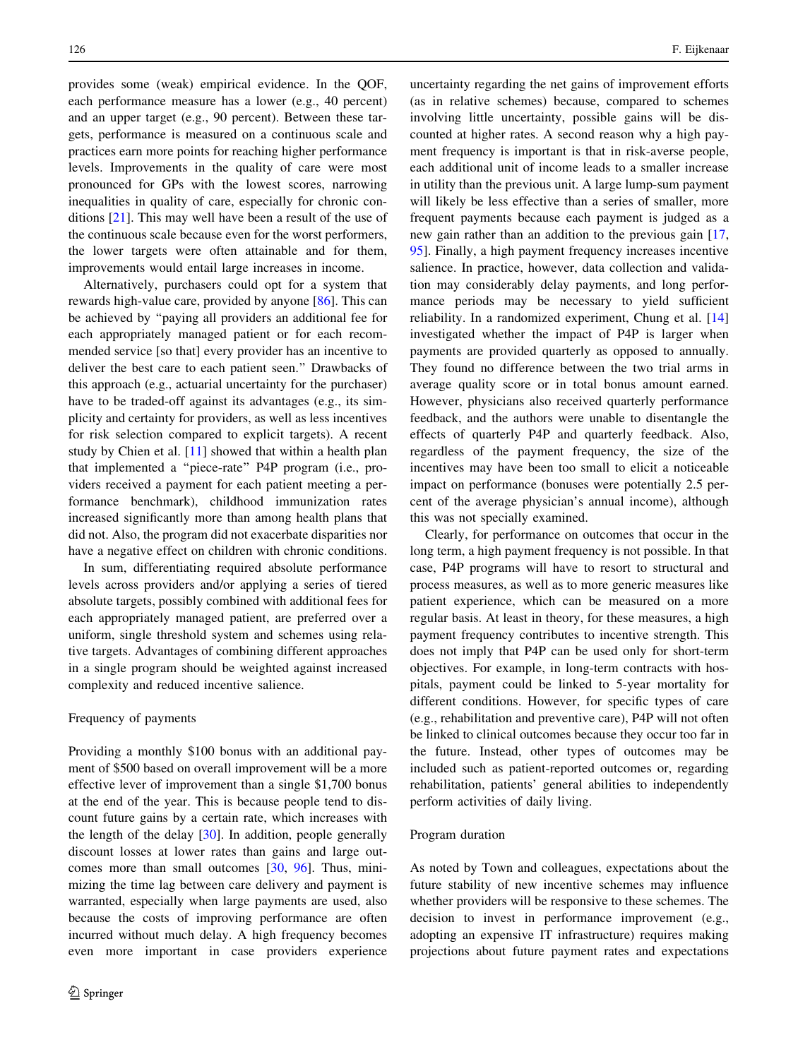provides some (weak) empirical evidence. In the QOF, each performance measure has a lower (e.g., 40 percent) and an upper target (e.g., 90 percent). Between these targets, performance is measured on a continuous scale and practices earn more points for reaching higher performance levels. Improvements in the quality of care were most pronounced for GPs with the lowest scores, narrowing inequalities in quality of care, especially for chronic conditions [\[21](#page-12-0)]. This may well have been a result of the use of the continuous scale because even for the worst performers, the lower targets were often attainable and for them, improvements would entail large increases in income.

Alternatively, purchasers could opt for a system that rewards high-value care, provided by anyone [[86\]](#page-14-0). This can be achieved by ''paying all providers an additional fee for each appropriately managed patient or for each recommended service [so that] every provider has an incentive to deliver the best care to each patient seen.'' Drawbacks of this approach (e.g., actuarial uncertainty for the purchaser) have to be traded-off against its advantages (e.g., its simplicity and certainty for providers, as well as less incentives for risk selection compared to explicit targets). A recent study by Chien et al. [\[11](#page-12-0)] showed that within a health plan that implemented a ''piece-rate'' P4P program (i.e., providers received a payment for each patient meeting a performance benchmark), childhood immunization rates increased significantly more than among health plans that did not. Also, the program did not exacerbate disparities nor have a negative effect on children with chronic conditions.

In sum, differentiating required absolute performance levels across providers and/or applying a series of tiered absolute targets, possibly combined with additional fees for each appropriately managed patient, are preferred over a uniform, single threshold system and schemes using relative targets. Advantages of combining different approaches in a single program should be weighted against increased complexity and reduced incentive salience.

#### Frequency of payments

Providing a monthly \$100 bonus with an additional payment of \$500 based on overall improvement will be a more effective lever of improvement than a single \$1,700 bonus at the end of the year. This is because people tend to discount future gains by a certain rate, which increases with the length of the delay [[30\]](#page-12-0). In addition, people generally discount losses at lower rates than gains and large outcomes more than small outcomes [\[30](#page-12-0), [96](#page-14-0)]. Thus, minimizing the time lag between care delivery and payment is warranted, especially when large payments are used, also because the costs of improving performance are often incurred without much delay. A high frequency becomes even more important in case providers experience

uncertainty regarding the net gains of improvement efforts (as in relative schemes) because, compared to schemes involving little uncertainty, possible gains will be discounted at higher rates. A second reason why a high payment frequency is important is that in risk-averse people, each additional unit of income leads to a smaller increase in utility than the previous unit. A large lump-sum payment will likely be less effective than a series of smaller, more frequent payments because each payment is judged as a new gain rather than an addition to the previous gain [[17,](#page-12-0) [95](#page-14-0)]. Finally, a high payment frequency increases incentive salience. In practice, however, data collection and validation may considerably delay payments, and long performance periods may be necessary to yield sufficient reliability. In a randomized experiment, Chung et al. [[14\]](#page-12-0) investigated whether the impact of P4P is larger when payments are provided quarterly as opposed to annually. They found no difference between the two trial arms in average quality score or in total bonus amount earned. However, physicians also received quarterly performance feedback, and the authors were unable to disentangle the effects of quarterly P4P and quarterly feedback. Also, regardless of the payment frequency, the size of the incentives may have been too small to elicit a noticeable impact on performance (bonuses were potentially 2.5 percent of the average physician's annual income), although this was not specially examined.

Clearly, for performance on outcomes that occur in the long term, a high payment frequency is not possible. In that case, P4P programs will have to resort to structural and process measures, as well as to more generic measures like patient experience, which can be measured on a more regular basis. At least in theory, for these measures, a high payment frequency contributes to incentive strength. This does not imply that P4P can be used only for short-term objectives. For example, in long-term contracts with hospitals, payment could be linked to 5-year mortality for different conditions. However, for specific types of care (e.g., rehabilitation and preventive care), P4P will not often be linked to clinical outcomes because they occur too far in the future. Instead, other types of outcomes may be included such as patient-reported outcomes or, regarding rehabilitation, patients' general abilities to independently perform activities of daily living.

#### Program duration

As noted by Town and colleagues, expectations about the future stability of new incentive schemes may influence whether providers will be responsive to these schemes. The decision to invest in performance improvement (e.g., adopting an expensive IT infrastructure) requires making projections about future payment rates and expectations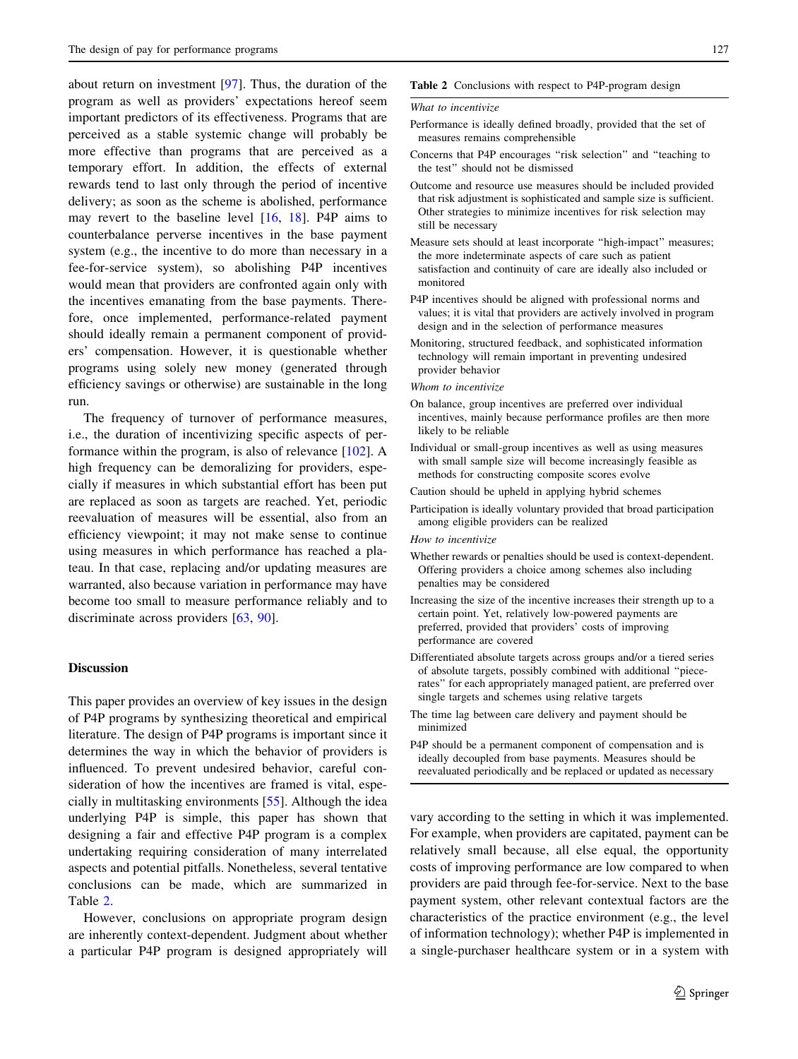about return on investment [[97\]](#page-14-0). Thus, the duration of the program as well as providers' expectations hereof seem important predictors of its effectiveness. Programs that are perceived as a stable systemic change will probably be more effective than programs that are perceived as a temporary effort. In addition, the effects of external rewards tend to last only through the period of incentive delivery; as soon as the scheme is abolished, performance may revert to the baseline level [[16,](#page-12-0) [18](#page-12-0)]. P4P aims to counterbalance perverse incentives in the base payment system (e.g., the incentive to do more than necessary in a fee-for-service system), so abolishing P4P incentives would mean that providers are confronted again only with the incentives emanating from the base payments. Therefore, once implemented, performance-related payment should ideally remain a permanent component of providers' compensation. However, it is questionable whether programs using solely new money (generated through efficiency savings or otherwise) are sustainable in the long run.

The frequency of turnover of performance measures, i.e., the duration of incentivizing specific aspects of performance within the program, is also of relevance [\[102](#page-14-0)]. A high frequency can be demoralizing for providers, especially if measures in which substantial effort has been put are replaced as soon as targets are reached. Yet, periodic reevaluation of measures will be essential, also from an efficiency viewpoint; it may not make sense to continue using measures in which performance has reached a plateau. In that case, replacing and/or updating measures are warranted, also because variation in performance may have become too small to measure performance reliably and to discriminate across providers [[63,](#page-13-0) [90](#page-14-0)].

## **Discussion**

This paper provides an overview of key issues in the design of P4P programs by synthesizing theoretical and empirical literature. The design of P4P programs is important since it determines the way in which the behavior of providers is influenced. To prevent undesired behavior, careful consideration of how the incentives are framed is vital, especially in multitasking environments [\[55](#page-13-0)]. Although the idea underlying P4P is simple, this paper has shown that designing a fair and effective P4P program is a complex undertaking requiring consideration of many interrelated aspects and potential pitfalls. Nonetheless, several tentative conclusions can be made, which are summarized in Table 2.

However, conclusions on appropriate program design are inherently context-dependent. Judgment about whether a particular P4P program is designed appropriately will

#### Table 2 Conclusions with respect to P4P-program design

#### What to incentivize

- Performance is ideally defined broadly, provided that the set of measures remains comprehensible
- Concerns that P4P encourages "risk selection" and "teaching to the test'' should not be dismissed
- Outcome and resource use measures should be included provided that risk adjustment is sophisticated and sample size is sufficient. Other strategies to minimize incentives for risk selection may still be necessary
- Measure sets should at least incorporate "high-impact" measures; the more indeterminate aspects of care such as patient satisfaction and continuity of care are ideally also included or monitored
- P4P incentives should be aligned with professional norms and values; it is vital that providers are actively involved in program design and in the selection of performance measures
- Monitoring, structured feedback, and sophisticated information technology will remain important in preventing undesired provider behavior
- Whom to incentivize
- On balance, group incentives are preferred over individual incentives, mainly because performance profiles are then more likely to be reliable
- Individual or small-group incentives as well as using measures with small sample size will become increasingly feasible as methods for constructing composite scores evolve
- Caution should be upheld in applying hybrid schemes
- Participation is ideally voluntary provided that broad participation among eligible providers can be realized

How to incentivize

- Whether rewards or penalties should be used is context-dependent. Offering providers a choice among schemes also including penalties may be considered
- Increasing the size of the incentive increases their strength up to a certain point. Yet, relatively low-powered payments are preferred, provided that providers' costs of improving performance are covered
- Differentiated absolute targets across groups and/or a tiered series of absolute targets, possibly combined with additional ''piecerates'' for each appropriately managed patient, are preferred over single targets and schemes using relative targets
- The time lag between care delivery and payment should be minimized
- P4P should be a permanent component of compensation and is ideally decoupled from base payments. Measures should be reevaluated periodically and be replaced or updated as necessary

vary according to the setting in which it was implemented. For example, when providers are capitated, payment can be relatively small because, all else equal, the opportunity costs of improving performance are low compared to when providers are paid through fee-for-service. Next to the base payment system, other relevant contextual factors are the characteristics of the practice environment (e.g., the level of information technology); whether P4P is implemented in a single-purchaser healthcare system or in a system with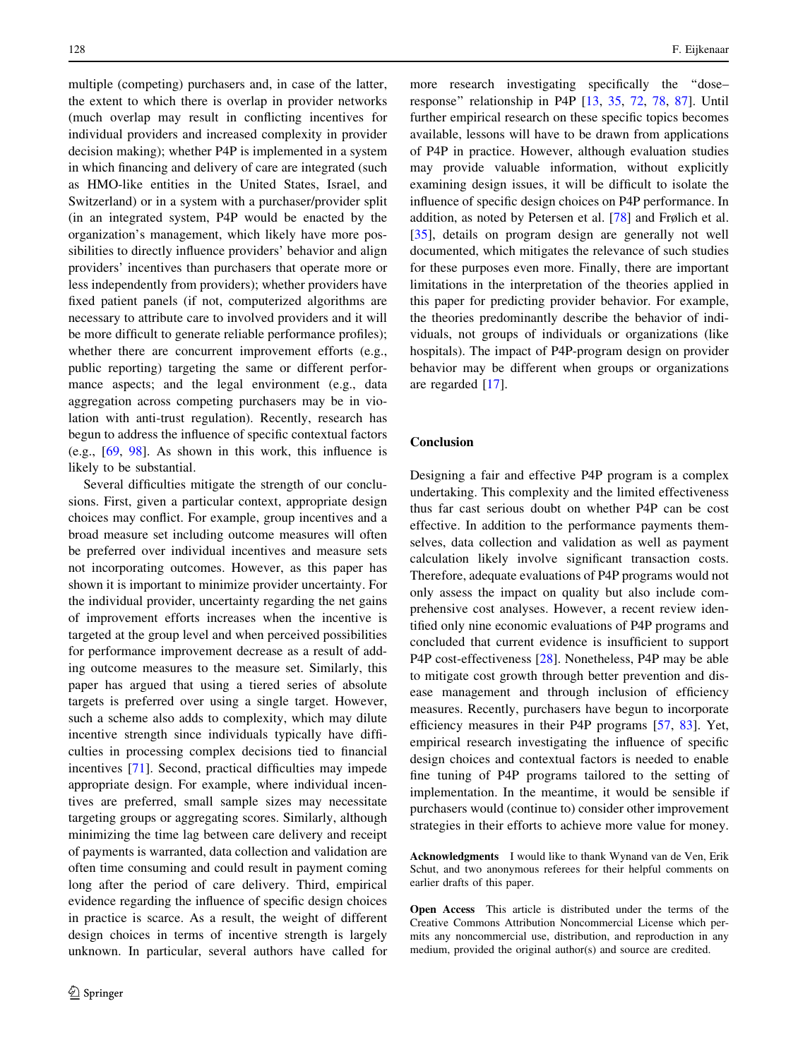multiple (competing) purchasers and, in case of the latter, the extent to which there is overlap in provider networks (much overlap may result in conflicting incentives for individual providers and increased complexity in provider decision making); whether P4P is implemented in a system in which financing and delivery of care are integrated (such as HMO-like entities in the United States, Israel, and Switzerland) or in a system with a purchaser/provider split (in an integrated system, P4P would be enacted by the organization's management, which likely have more possibilities to directly influence providers' behavior and align providers' incentives than purchasers that operate more or less independently from providers); whether providers have fixed patient panels (if not, computerized algorithms are necessary to attribute care to involved providers and it will be more difficult to generate reliable performance profiles); whether there are concurrent improvement efforts (e.g., public reporting) targeting the same or different performance aspects; and the legal environment (e.g., data aggregation across competing purchasers may be in violation with anti-trust regulation). Recently, research has begun to address the influence of specific contextual factors (e.g., [\[69](#page-13-0), [98](#page-14-0)]. As shown in this work, this influence is likely to be substantial.

Several difficulties mitigate the strength of our conclusions. First, given a particular context, appropriate design choices may conflict. For example, group incentives and a broad measure set including outcome measures will often be preferred over individual incentives and measure sets not incorporating outcomes. However, as this paper has shown it is important to minimize provider uncertainty. For the individual provider, uncertainty regarding the net gains of improvement efforts increases when the incentive is targeted at the group level and when perceived possibilities for performance improvement decrease as a result of adding outcome measures to the measure set. Similarly, this paper has argued that using a tiered series of absolute targets is preferred over using a single target. However, such a scheme also adds to complexity, which may dilute incentive strength since individuals typically have difficulties in processing complex decisions tied to financial incentives [[71\]](#page-13-0). Second, practical difficulties may impede appropriate design. For example, where individual incentives are preferred, small sample sizes may necessitate targeting groups or aggregating scores. Similarly, although minimizing the time lag between care delivery and receipt of payments is warranted, data collection and validation are often time consuming and could result in payment coming long after the period of care delivery. Third, empirical evidence regarding the influence of specific design choices in practice is scarce. As a result, the weight of different design choices in terms of incentive strength is largely unknown. In particular, several authors have called for more research investigating specifically the "doseresponse'' relationship in P4P [\[13](#page-12-0), [35,](#page-12-0) [72,](#page-13-0) [78](#page-13-0), [87\]](#page-14-0). Until further empirical research on these specific topics becomes available, lessons will have to be drawn from applications of P4P in practice. However, although evaluation studies may provide valuable information, without explicitly examining design issues, it will be difficult to isolate the influence of specific design choices on P4P performance. In addition, as noted by Petersen et al. [\[78](#page-13-0)] and Frølich et al. [\[35](#page-12-0)], details on program design are generally not well documented, which mitigates the relevance of such studies for these purposes even more. Finally, there are important limitations in the interpretation of the theories applied in this paper for predicting provider behavior. For example, the theories predominantly describe the behavior of individuals, not groups of individuals or organizations (like hospitals). The impact of P4P-program design on provider behavior may be different when groups or organizations are regarded [\[17](#page-12-0)].

# Conclusion

Designing a fair and effective P4P program is a complex undertaking. This complexity and the limited effectiveness thus far cast serious doubt on whether P4P can be cost effective. In addition to the performance payments themselves, data collection and validation as well as payment calculation likely involve significant transaction costs. Therefore, adequate evaluations of P4P programs would not only assess the impact on quality but also include comprehensive cost analyses. However, a recent review identified only nine economic evaluations of P4P programs and concluded that current evidence is insufficient to support P4P cost-effectiveness [\[28](#page-12-0)]. Nonetheless, P4P may be able to mitigate cost growth through better prevention and disease management and through inclusion of efficiency measures. Recently, purchasers have begun to incorporate efficiency measures in their P4P programs [[57,](#page-13-0) [83](#page-14-0)]. Yet, empirical research investigating the influence of specific design choices and contextual factors is needed to enable fine tuning of P4P programs tailored to the setting of implementation. In the meantime, it would be sensible if purchasers would (continue to) consider other improvement strategies in their efforts to achieve more value for money.

Acknowledgments I would like to thank Wynand van de Ven, Erik Schut, and two anonymous referees for their helpful comments on earlier drafts of this paper.

Open Access This article is distributed under the terms of the Creative Commons Attribution Noncommercial License which permits any noncommercial use, distribution, and reproduction in any medium, provided the original author(s) and source are credited.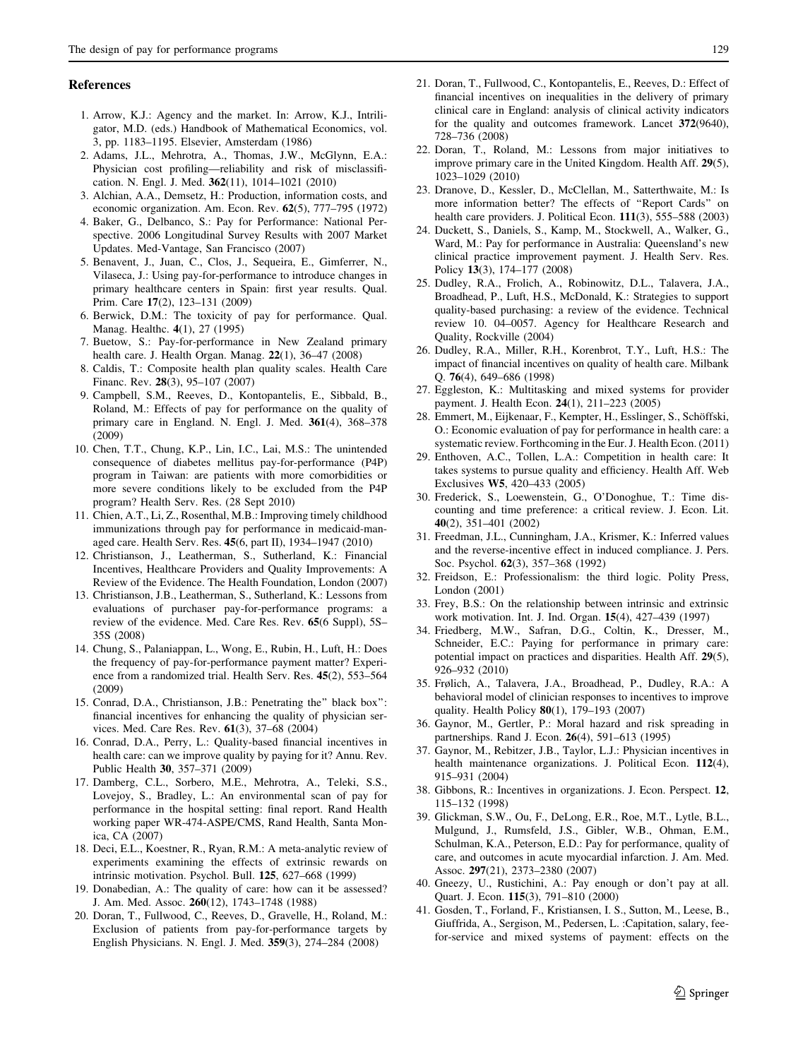#### <span id="page-12-0"></span>References

- 1. Arrow, K.J.: Agency and the market. In: Arrow, K.J., Intriligator, M.D. (eds.) Handbook of Mathematical Economics, vol. 3, pp. 1183–1195. Elsevier, Amsterdam (1986)
- 2. Adams, J.L., Mehrotra, A., Thomas, J.W., McGlynn, E.A.: Physician cost profiling—reliability and risk of misclassification. N. Engl. J. Med. 362(11), 1014–1021 (2010)
- 3. Alchian, A.A., Demsetz, H.: Production, information costs, and economic organization. Am. Econ. Rev. 62(5), 777–795 (1972)
- 4. Baker, G., Delbanco, S.: Pay for Performance: National Perspective. 2006 Longitudinal Survey Results with 2007 Market Updates. Med-Vantage, San Francisco (2007)
- 5. Benavent, J., Juan, C., Clos, J., Sequeira, E., Gimferrer, N., Vilaseca, J.: Using pay-for-performance to introduce changes in primary healthcare centers in Spain: first year results. Qual. Prim. Care 17(2), 123–131 (2009)
- 6. Berwick, D.M.: The toxicity of pay for performance. Qual. Manag. Healthc. 4(1), 27 (1995)
- 7. Buetow, S.: Pay-for-performance in New Zealand primary health care. J. Health Organ. Manag. 22(1), 36–47 (2008)
- 8. Caldis, T.: Composite health plan quality scales. Health Care Financ. Rev. 28(3), 95–107 (2007)
- 9. Campbell, S.M., Reeves, D., Kontopantelis, E., Sibbald, B., Roland, M.: Effects of pay for performance on the quality of primary care in England. N. Engl. J. Med. 361(4), 368–378 (2009)
- 10. Chen, T.T., Chung, K.P., Lin, I.C., Lai, M.S.: The unintended consequence of diabetes mellitus pay-for-performance (P4P) program in Taiwan: are patients with more comorbidities or more severe conditions likely to be excluded from the P4P program? Health Serv. Res. (28 Sept 2010)
- 11. Chien, A.T., Li, Z., Rosenthal, M.B.: Improving timely childhood immunizations through pay for performance in medicaid-managed care. Health Serv. Res. 45(6, part II), 1934–1947 (2010)
- 12. Christianson, J., Leatherman, S., Sutherland, K.: Financial Incentives, Healthcare Providers and Quality Improvements: A Review of the Evidence. The Health Foundation, London (2007)
- 13. Christianson, J.B., Leatherman, S., Sutherland, K.: Lessons from evaluations of purchaser pay-for-performance programs: a review of the evidence. Med. Care Res. Rev. 65(6 Suppl), 5S– 35S (2008)
- 14. Chung, S., Palaniappan, L., Wong, E., Rubin, H., Luft, H.: Does the frequency of pay-for-performance payment matter? Experience from a randomized trial. Health Serv. Res. 45(2), 553–564 (2009)
- 15. Conrad, D.A., Christianson, J.B.: Penetrating the'' black box'': financial incentives for enhancing the quality of physician services. Med. Care Res. Rev. 61(3), 37–68 (2004)
- 16. Conrad, D.A., Perry, L.: Quality-based financial incentives in health care: can we improve quality by paying for it? Annu. Rev. Public Health 30, 357–371 (2009)
- 17. Damberg, C.L., Sorbero, M.E., Mehrotra, A., Teleki, S.S., Lovejoy, S., Bradley, L.: An environmental scan of pay for performance in the hospital setting: final report. Rand Health working paper WR-474-ASPE/CMS, Rand Health, Santa Monica, CA (2007)
- 18. Deci, E.L., Koestner, R., Ryan, R.M.: A meta-analytic review of experiments examining the effects of extrinsic rewards on intrinsic motivation. Psychol. Bull. 125, 627–668 (1999)
- 19. Donabedian, A.: The quality of care: how can it be assessed? J. Am. Med. Assoc. 260(12), 1743–1748 (1988)
- 20. Doran, T., Fullwood, C., Reeves, D., Gravelle, H., Roland, M.: Exclusion of patients from pay-for-performance targets by English Physicians. N. Engl. J. Med. 359(3), 274–284 (2008)
- 21. Doran, T., Fullwood, C., Kontopantelis, E., Reeves, D.: Effect of financial incentives on inequalities in the delivery of primary clinical care in England: analysis of clinical activity indicators for the quality and outcomes framework. Lancet 372(9640), 728–736 (2008)
- 22. Doran, T., Roland, M.: Lessons from major initiatives to improve primary care in the United Kingdom. Health Aff. 29(5), 1023–1029 (2010)
- 23. Dranove, D., Kessler, D., McClellan, M., Satterthwaite, M.: Is more information better? The effects of ''Report Cards'' on health care providers. J. Political Econ. 111(3), 555–588 (2003)
- 24. Duckett, S., Daniels, S., Kamp, M., Stockwell, A., Walker, G., Ward, M.: Pay for performance in Australia: Queensland's new clinical practice improvement payment. J. Health Serv. Res. Policy 13(3), 174–177 (2008)
- 25. Dudley, R.A., Frolich, A., Robinowitz, D.L., Talavera, J.A., Broadhead, P., Luft, H.S., McDonald, K.: Strategies to support quality-based purchasing: a review of the evidence. Technical review 10. 04–0057. Agency for Healthcare Research and Quality, Rockville (2004)
- 26. Dudley, R.A., Miller, R.H., Korenbrot, T.Y., Luft, H.S.: The impact of financial incentives on quality of health care. Milbank Q. 76(4), 649–686 (1998)
- 27. Eggleston, K.: Multitasking and mixed systems for provider payment. J. Health Econ. 24(1), 211–223 (2005)
- 28. Emmert, M., Eijkenaar, F., Kempter, H., Esslinger, S., Schöffski, O.: Economic evaluation of pay for performance in health care: a systematic review. Forthcoming in the Eur. J. Health Econ. (2011)
- 29. Enthoven, A.C., Tollen, L.A.: Competition in health care: It takes systems to pursue quality and efficiency. Health Aff. Web Exclusives W5, 420–433 (2005)
- 30. Frederick, S., Loewenstein, G., O'Donoghue, T.: Time discounting and time preference: a critical review. J. Econ. Lit. 40(2), 351–401 (2002)
- 31. Freedman, J.L., Cunningham, J.A., Krismer, K.: Inferred values and the reverse-incentive effect in induced compliance. J. Pers. Soc. Psychol. 62(3), 357–368 (1992)
- 32. Freidson, E.: Professionalism: the third logic. Polity Press, London (2001)
- 33. Frey, B.S.: On the relationship between intrinsic and extrinsic work motivation. Int. J. Ind. Organ. 15(4), 427–439 (1997)
- 34. Friedberg, M.W., Safran, D.G., Coltin, K., Dresser, M., Schneider, E.C.: Paying for performance in primary care: potential impact on practices and disparities. Health Aff. 29(5), 926–932 (2010)
- 35. Frølich, A., Talavera, J.A., Broadhead, P., Dudley, R.A.: A behavioral model of clinician responses to incentives to improve quality. Health Policy 80(1), 179–193 (2007)
- 36. Gaynor, M., Gertler, P.: Moral hazard and risk spreading in partnerships. Rand J. Econ. 26(4), 591–613 (1995)
- 37. Gaynor, M., Rebitzer, J.B., Taylor, L.J.: Physician incentives in health maintenance organizations. J. Political Econ. 112(4), 915–931 (2004)
- 38. Gibbons, R.: Incentives in organizations. J. Econ. Perspect. 12, 115–132 (1998)
- 39. Glickman, S.W., Ou, F., DeLong, E.R., Roe, M.T., Lytle, B.L., Mulgund, J., Rumsfeld, J.S., Gibler, W.B., Ohman, E.M., Schulman, K.A., Peterson, E.D.: Pay for performance, quality of care, and outcomes in acute myocardial infarction. J. Am. Med. Assoc. 297(21), 2373–2380 (2007)
- 40. Gneezy, U., Rustichini, A.: Pay enough or don't pay at all. Quart. J. Econ. 115(3), 791–810 (2000)
- 41. Gosden, T., Forland, F., Kristiansen, I. S., Sutton, M., Leese, B., Giuffrida, A., Sergison, M., Pedersen, L. :Capitation, salary, feefor-service and mixed systems of payment: effects on the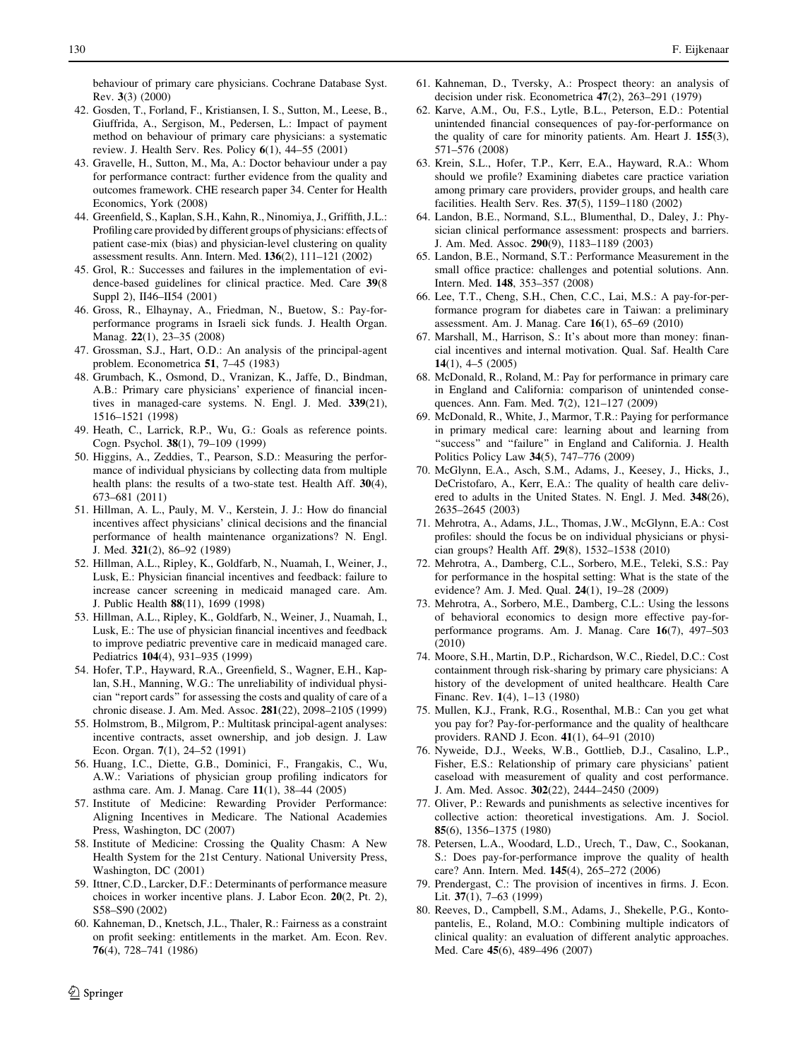<span id="page-13-0"></span>behaviour of primary care physicians. Cochrane Database Syst. Rev. 3(3) (2000)

- 42. Gosden, T., Forland, F., Kristiansen, I. S., Sutton, M., Leese, B., Giuffrida, A., Sergison, M., Pedersen, L.: Impact of payment method on behaviour of primary care physicians: a systematic review. J. Health Serv. Res. Policy 6(1), 44–55 (2001)
- 43. Gravelle, H., Sutton, M., Ma, A.: Doctor behaviour under a pay for performance contract: further evidence from the quality and outcomes framework. CHE research paper 34. Center for Health Economics, York (2008)
- 44. Greenfield, S., Kaplan, S.H., Kahn, R., Ninomiya, J., Griffith, J.L.: Profiling care provided by different groups of physicians: effects of patient case-mix (bias) and physician-level clustering on quality assessment results. Ann. Intern. Med. 136(2), 111–121 (2002)
- 45. Grol, R.: Successes and failures in the implementation of evidence-based guidelines for clinical practice. Med. Care 39(8 Suppl 2), II46–II54 (2001)
- 46. Gross, R., Elhaynay, A., Friedman, N., Buetow, S.: Pay-forperformance programs in Israeli sick funds. J. Health Organ. Manag. 22(1), 23–35 (2008)
- 47. Grossman, S.J., Hart, O.D.: An analysis of the principal-agent problem. Econometrica 51, 7–45 (1983)
- 48. Grumbach, K., Osmond, D., Vranizan, K., Jaffe, D., Bindman, A.B.: Primary care physicians' experience of financial incentives in managed-care systems. N. Engl. J. Med. 339(21), 1516–1521 (1998)
- 49. Heath, C., Larrick, R.P., Wu, G.: Goals as reference points. Cogn. Psychol. 38(1), 79–109 (1999)
- 50. Higgins, A., Zeddies, T., Pearson, S.D.: Measuring the performance of individual physicians by collecting data from multiple health plans: the results of a two-state test. Health Aff. 30(4), 673–681 (2011)
- 51. Hillman, A. L., Pauly, M. V., Kerstein, J. J.: How do financial incentives affect physicians' clinical decisions and the financial performance of health maintenance organizations? N. Engl. J. Med. 321(2), 86–92 (1989)
- 52. Hillman, A.L., Ripley, K., Goldfarb, N., Nuamah, I., Weiner, J., Lusk, E.: Physician financial incentives and feedback: failure to increase cancer screening in medicaid managed care. Am. J. Public Health 88(11), 1699 (1998)
- 53. Hillman, A.L., Ripley, K., Goldfarb, N., Weiner, J., Nuamah, I., Lusk, E.: The use of physician financial incentives and feedback to improve pediatric preventive care in medicaid managed care. Pediatrics 104(4), 931–935 (1999)
- 54. Hofer, T.P., Hayward, R.A., Greenfield, S., Wagner, E.H., Kaplan, S.H., Manning, W.G.: The unreliability of individual physician ''report cards'' for assessing the costs and quality of care of a chronic disease. J. Am. Med. Assoc. 281(22), 2098–2105 (1999)
- 55. Holmstrom, B., Milgrom, P.: Multitask principal-agent analyses: incentive contracts, asset ownership, and job design. J. Law Econ. Organ. 7(1), 24–52 (1991)
- 56. Huang, I.C., Diette, G.B., Dominici, F., Frangakis, C., Wu, A.W.: Variations of physician group profiling indicators for asthma care. Am. J. Manag. Care 11(1), 38–44 (2005)
- 57. Institute of Medicine: Rewarding Provider Performance: Aligning Incentives in Medicare. The National Academies Press, Washington, DC (2007)
- 58. Institute of Medicine: Crossing the Quality Chasm: A New Health System for the 21st Century. National University Press, Washington, DC (2001)
- 59. Ittner, C.D., Larcker, D.F.: Determinants of performance measure choices in worker incentive plans. J. Labor Econ. 20(2, Pt. 2), S58–S90 (2002)
- 60. Kahneman, D., Knetsch, J.L., Thaler, R.: Fairness as a constraint on profit seeking: entitlements in the market. Am. Econ. Rev. 76(4), 728–741 (1986)
- 61. Kahneman, D., Tversky, A.: Prospect theory: an analysis of decision under risk. Econometrica 47(2), 263–291 (1979)
- 62. Karve, A.M., Ou, F.S., Lytle, B.L., Peterson, E.D.: Potential unintended financial consequences of pay-for-performance on the quality of care for minority patients. Am. Heart J. 155(3), 571–576 (2008)
- 63. Krein, S.L., Hofer, T.P., Kerr, E.A., Hayward, R.A.: Whom should we profile? Examining diabetes care practice variation among primary care providers, provider groups, and health care facilities. Health Serv. Res. 37(5), 1159–1180 (2002)
- 64. Landon, B.E., Normand, S.L., Blumenthal, D., Daley, J.: Physician clinical performance assessment: prospects and barriers. J. Am. Med. Assoc. 290(9), 1183–1189 (2003)
- 65. Landon, B.E., Normand, S.T.: Performance Measurement in the small office practice: challenges and potential solutions. Ann. Intern. Med. 148, 353–357 (2008)
- 66. Lee, T.T., Cheng, S.H., Chen, C.C., Lai, M.S.: A pay-for-performance program for diabetes care in Taiwan: a preliminary assessment. Am. J. Manag. Care 16(1), 65–69 (2010)
- 67. Marshall, M., Harrison, S.: It's about more than money: financial incentives and internal motivation. Qual. Saf. Health Care 14(1), 4–5 (2005)
- 68. McDonald, R., Roland, M.: Pay for performance in primary care in England and California: comparison of unintended consequences. Ann. Fam. Med. 7(2), 121–127 (2009)
- 69. McDonald, R., White, J., Marmor, T.R.: Paying for performance in primary medical care: learning about and learning from "success" and "failure" in England and California. J. Health Politics Policy Law 34(5), 747–776 (2009)
- 70. McGlynn, E.A., Asch, S.M., Adams, J., Keesey, J., Hicks, J., DeCristofaro, A., Kerr, E.A.: The quality of health care delivered to adults in the United States. N. Engl. J. Med. 348(26), 2635–2645 (2003)
- 71. Mehrotra, A., Adams, J.L., Thomas, J.W., McGlynn, E.A.: Cost profiles: should the focus be on individual physicians or physician groups? Health Aff. 29(8), 1532–1538 (2010)
- 72. Mehrotra, A., Damberg, C.L., Sorbero, M.E., Teleki, S.S.: Pay for performance in the hospital setting: What is the state of the evidence? Am. J. Med. Qual. 24(1), 19–28 (2009)
- 73. Mehrotra, A., Sorbero, M.E., Damberg, C.L.: Using the lessons of behavioral economics to design more effective pay-forperformance programs. Am. J. Manag. Care 16(7), 497–503 (2010)
- 74. Moore, S.H., Martin, D.P., Richardson, W.C., Riedel, D.C.: Cost containment through risk-sharing by primary care physicians: A history of the development of united healthcare. Health Care Financ. Rev. 1(4), 1–13 (1980)
- 75. Mullen, K.J., Frank, R.G., Rosenthal, M.B.: Can you get what you pay for? Pay-for-performance and the quality of healthcare providers. RAND J. Econ. 41(1), 64–91 (2010)
- 76. Nyweide, D.J., Weeks, W.B., Gottlieb, D.J., Casalino, L.P., Fisher, E.S.: Relationship of primary care physicians' patient caseload with measurement of quality and cost performance. J. Am. Med. Assoc. 302(22), 2444–2450 (2009)
- 77. Oliver, P.: Rewards and punishments as selective incentives for collective action: theoretical investigations. Am. J. Sociol. 85(6), 1356–1375 (1980)
- 78. Petersen, L.A., Woodard, L.D., Urech, T., Daw, C., Sookanan, S.: Does pay-for-performance improve the quality of health care? Ann. Intern. Med. 145(4), 265–272 (2006)
- 79. Prendergast, C.: The provision of incentives in firms. J. Econ. Lit. 37(1), 7–63 (1999)
- 80. Reeves, D., Campbell, S.M., Adams, J., Shekelle, P.G., Kontopantelis, E., Roland, M.O.: Combining multiple indicators of clinical quality: an evaluation of different analytic approaches. Med. Care 45(6), 489–496 (2007)